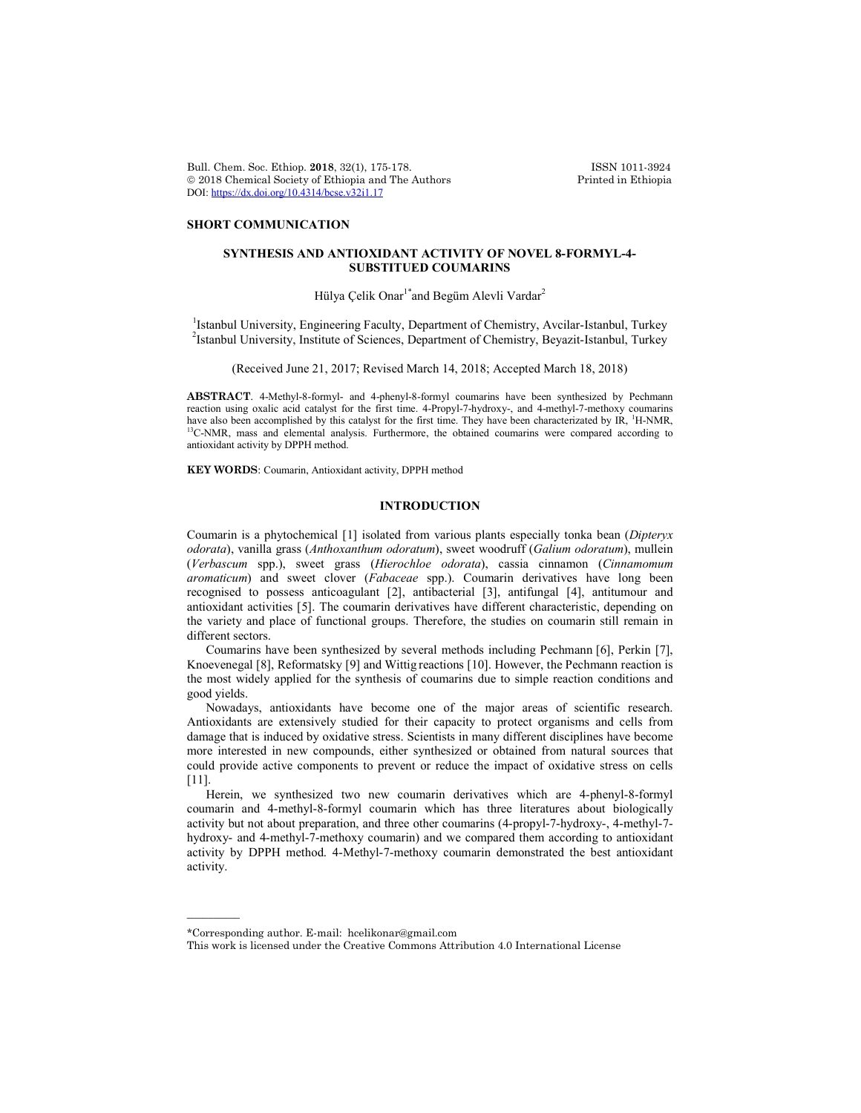Bull. Chem. Soc. Ethiop. 2018, 32(1), 175-178. ISSN 1011-3924<br>
© 2018 Chemical Society of Ethiopia and The Authors Printed in Ethiopia  $© 2018 Chemical Society of Ethiopia and The Authors$ DOI: https://dx.doi.org/10.4314/bcse.v32i1.17

### **SHORT COMMUNICATION**

## **SYNTHESIS AND ANTIOXIDANT ACTIVITY OF NOVEL 8-FORMYL-4- SUBSTITUED COUMARINS**

Hülya Çelik Onar<sup>1\*</sup>and Begüm Alevli Vardar<sup>2</sup>

<sup>1</sup> Istanbul University, Engineering Faculty, Department of Chemistry, Avcilar-Istanbul, Turkey <sup>2</sup>Istanbul University, Institute of Sciences, Department of Chemistry, Beyazit-Istanbul, Turkey

(Received June 21, 2017; Revised March 14, 2018; Accepted March 18, 2018)

**ABSTRACT**. 4-Methyl-8-formyl- and 4-phenyl-8-formyl coumarins have been synthesized by Pechmann reaction using oxalic acid catalyst for the first time. 4-Propyl-7-hydroxy-, and 4-methyl-7-methoxy coumarins have also been accomplished by this catalyst for the first time. They have been characterizated by IR, <sup>1</sup>H-NMR, <sup>13</sup>C-NMR, mass and elemental analysis. Furthermore, the obtained coumarins were compared according to antioxidant activity by DPPH method.

**KEY WORDS**: Coumarin, Antioxidant activity, DPPH method

### **INTRODUCTION**

Coumarin is a phytochemical [1] isolated from various plants especially tonka bean (*Dipteryx odorata*), vanilla grass (*Anthoxanthum odoratum*), sweet woodruff (*Galium odoratum*), mullein (*Verbascum* spp.), sweet grass (*Hierochloe odorata*), cassia cinnamon (*Cinnamomum aromaticum*) and sweet clover (*Fabaceae* spp.). Coumarin derivatives have long been recognised to possess anticoagulant [2], antibacterial [3], antifungal [4], antitumour and antioxidant activities [5]. The coumarin derivatives have different characteristic, depending on the variety and place of functional groups. Therefore, the studies on coumarin still remain in different sectors.

Coumarins have been synthesized by several methods including Pechmann [6], Perkin [7], Knoevenegal [8], Reformatsky [9] and Wittig reactions [10]. However, the Pechmann reaction is the most widely applied for the synthesis of coumarins due to simple reaction conditions and good yields.

Nowadays, antioxidants have become one of the major areas of scientific research. Antioxidants are extensively studied for their capacity to protect organisms and cells from damage that is induced by oxidative stress. Scientists in many different disciplines have become more interested in new compounds, either synthesized or obtained from natural sources that could provide active components to prevent or reduce the impact of oxidative stress on cells [11].

Herein, we synthesized two new coumarin derivatives which are 4-phenyl-8-formyl coumarin and 4-methyl-8-formyl coumarin which has three literatures about biologically activity but not about preparation, and three other coumarins (4-propyl-7-hydroxy-, 4-methyl-7 hydroxy- and 4-methyl-7-methoxy coumarin) and we compared them according to antioxidant activity by DPPH method. 4-Methyl-7-methoxy coumarin demonstrated the best antioxidant activity.

 $\overline{\phantom{a}}$ 

<sup>\*</sup>Corresponding author. E-mail: hcelikonar@gmail.com

This work is licensed under the Creative Commons Attribution 4.0 International License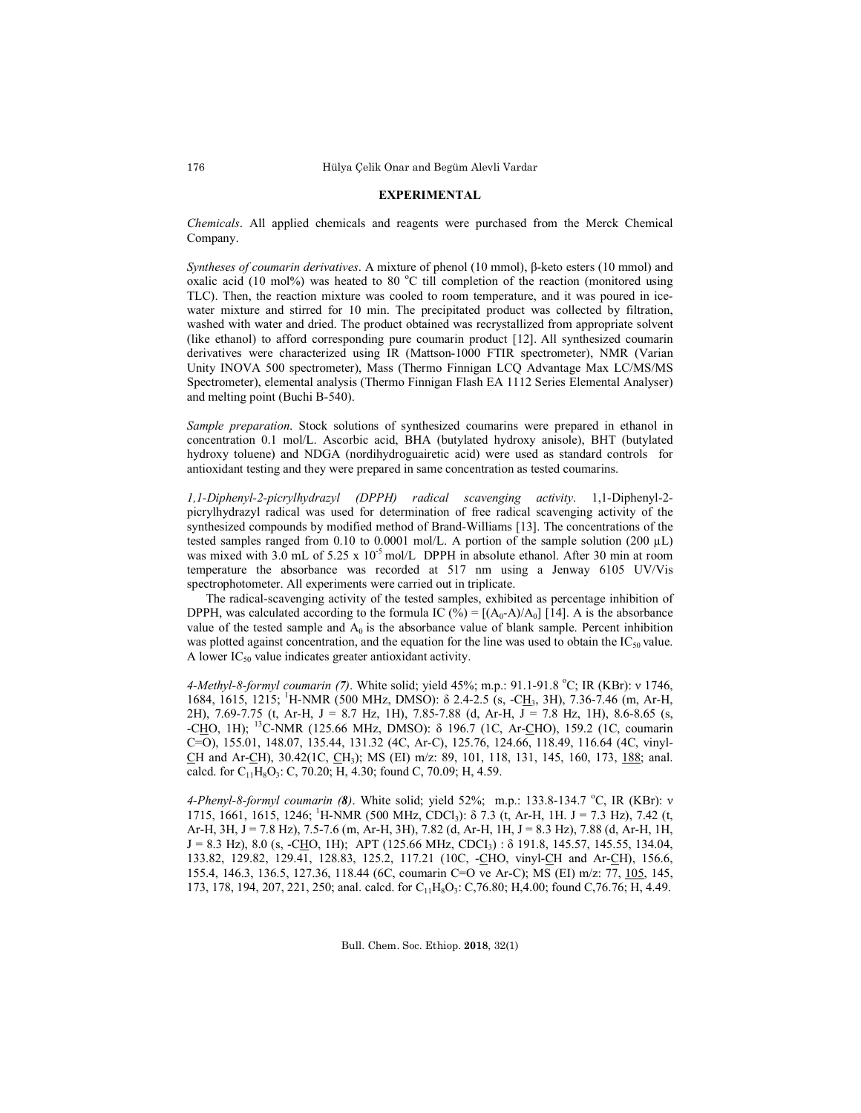#### **EXPERIMENTAL**

*Chemicals*. All applied chemicals and reagents were purchased from the Merck Chemical Company.

*Syntheses of coumarin derivatives*. A mixture of phenol (10 mmol), β-keto esters (10 mmol) and oxalic acid (10 mol%) was heated to 80 °C till completion of the reaction (monitored using TLC). Then, the reaction mixture was cooled to room temperature, and it was poured in icewater mixture and stirred for 10 min. The precipitated product was collected by filtration, washed with water and dried. The product obtained was recrystallized from appropriate solvent (like ethanol) to afford corresponding pure coumarin product [12]. All synthesized coumarin derivatives were characterized using IR (Mattson-1000 FTIR spectrometer), NMR (Varian Unity INOVA 500 spectrometer), Mass (Thermo Finnigan LCQ Advantage Max LC/MS/MS Spectrometer), elemental analysis (Thermo Finnigan Flash EA 1112 Series Elemental Analyser) and melting point (Buchi B-540).

*Sample preparation*. Stock solutions of synthesized coumarins were prepared in ethanol in concentration 0.1 mol/L. Ascorbic acid, BHA (butylated hydroxy anisole), BHT (butylated hydroxy toluene) and NDGA (nordihydroguairetic acid) were used as standard controls for antioxidant testing and they were prepared in same concentration as tested coumarins.

*1,1-Diphenyl-2-picrylhydrazyl (DPPH) radical scavenging activity*. 1,1-Diphenyl-2 picrylhydrazyl radical was used for determination of free radical scavenging activity of the synthesized compounds by modified method of Brand-Williams [13]. The concentrations of the tested samples ranged from 0.10 to 0.0001 mol/L. A portion of the sample solution (200  $\mu$ L) was mixed with 3.0 mL of 5.25 x 10<sup>-5</sup> mol/L DPPH in absolute ethanol. After 30 min at room temperature the absorbance was recorded at 517 nm using a Jenway 6105 UV/Vis spectrophotometer. All experiments were carried out in triplicate.

The radical-scavenging activity of the tested samples, exhibited as percentage inhibition of DPPH, was calculated according to the formula IC (%) =  $[(A_0-A)/A_0]$  [14]. A is the absorbance value of the tested sample and  $A_0$  is the absorbance value of blank sample. Percent inhibition was plotted against concentration, and the equation for the line was used to obtain the  $IC_{50}$  value. A lower  $IC_{50}$  value indicates greater antioxidant activity.

4-Methyl-8-formyl coumarin (7). White solid; yield 45%; m.p.: 91.1-91.8 °C; IR (KBr): ν 1746, 1684, 1615, 1215; <sup>1</sup>H-NMR (500 MHz, DMSO): δ 2.4-2.5 (s, -CH<sub>3</sub>, 3H), 7.36-7.46 (m, Ar-H, 2H), 7.69-7.75 (t, Ar-H, J = 8.7 Hz, 1H), 7.85-7.88 (d, Ar-H, J = 7.8 Hz, 1H), 8.6-8.65 (s, -CHO, 1H); 13C-NMR (125.66 MHz, DMSO): δ 196.7 (1C, Ar-CHO), 159.2 (1C, coumarin C=O), 155.01, 148.07, 135.44, 131.32 (4C, Ar-C), 125.76, 124.66, 118.49, 116.64 (4C, vinyl-CH and Ar-CH), 30.42(1C, CH<sub>3</sub>); MS (EI) m/z: 89, 101, 118, 131, 145, 160, 173, 188; anal. calcd. for  $C_{11}H_8O_3$ : C, 70.20; H, 4.30; found C, 70.09; H, 4.59.

4-Phenyl-8-formyl coumarin (8). White solid; yield 52%; m.p.: 133.8-134.7 °C, IR (KBr): ν 1715, 1661, 1615, 1246; <sup>1</sup>H-NMR (500 MHz, CDCl<sub>3</sub>): δ 7.3 (t, Ar-H, 1H. J = 7.3 Hz), 7.42 (t, Ar-H, 3H, J = 7.8 Hz), 7.5-7.6 (m, Ar-H, 3H), 7.82 (d, Ar-H, 1H, J = 8.3 Hz), 7.88 (d, Ar-H, 1H,  $J = 8.3$  Hz), 8.0 (s, -CHO, 1H); APT (125.66 MHz, CDCI<sub>3</sub>) :  $\delta$  191.8, 145.57, 145.55, 134.04, 133.82, 129.82, 129.41, 128.83, 125.2, 117.21 (10C, -CHO, vinyl-CH and Ar-CH), 156.6, 155.4, 146.3, 136.5, 127.36, 118.44 (6C, coumarin C=O ve Ar-C); MS (EI) m/z: 77, 105, 145, 173, 178, 194, 207, 221, 250; anal. calcd. for C<sub>11</sub>H<sub>8</sub>O<sub>3</sub>: C,76.80; H,4.00; found C,76.76; H, 4.49.

Bull. Chem. Soc. Ethiop. **2018**, 32(1)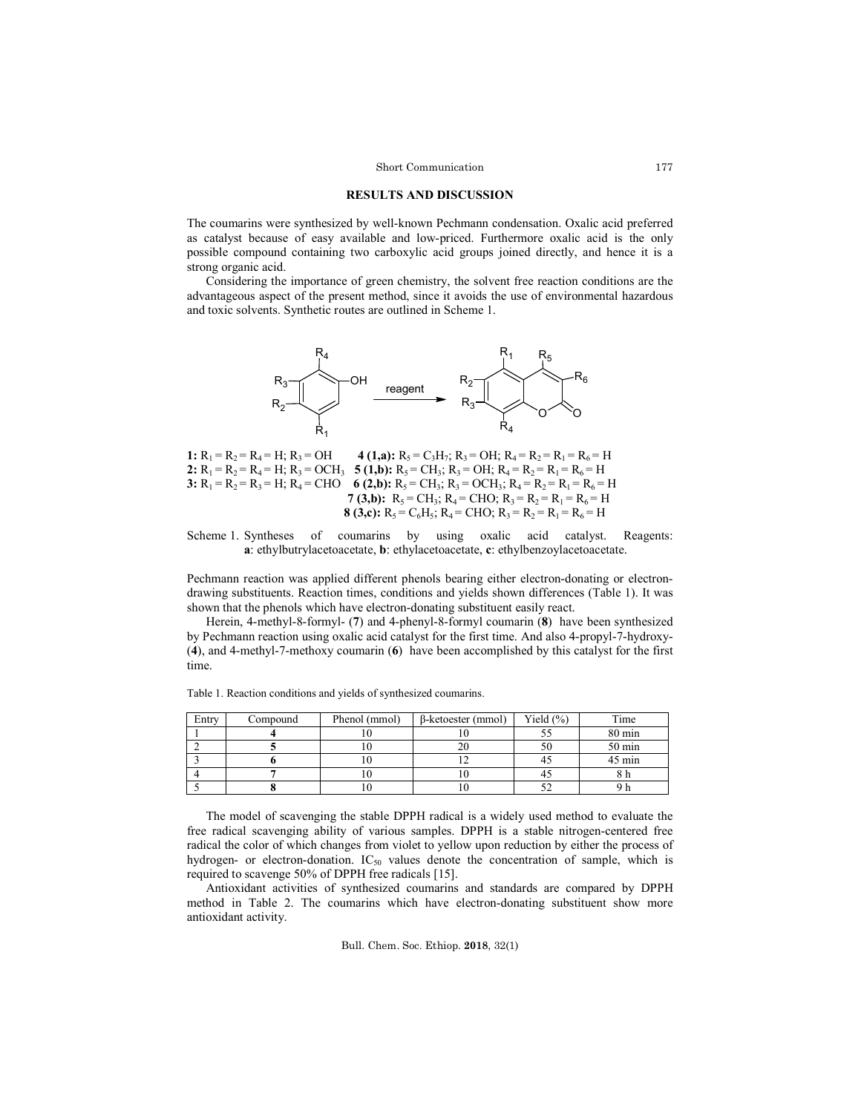# **RESULTS AND DISCUSSION**

The coumarins were synthesized by well-known Pechmann condensation. Oxalic acid preferred as catalyst because of easy available and low-priced. Furthermore oxalic acid is the only possible compound containing two carboxylic acid groups joined directly, and hence it is a strong organic acid.

Considering the importance of green chemistry, the solvent free reaction conditions are the advantageous aspect of the present method, since it avoids the use of environmental hazardous and toxic solvents. Synthetic routes are outlined in Scheme 1.



**1:**  $R_1 = R_2 = R_4 = H$ ;  $R_3 = OH$  **4 (1,a):**  $R_5 = C_3H_7$ ;  $R_3 = OH$ ;  $R_4 = R_2 = R_1 = R_6 = H$ **2:**  $R_1 = R_2 = R_4 = H$ ;  $R_3 = OCH_3$  **5 (1,b):**  $R_5 = CH_3$ ;  $R_3 = OH$ ;  $R_4 = R_2 = R_1 = R_6 = H$ **3:**  $R_1 = R_2 = R_3 = H$ ;  $R_4 = CHO$  **6 (2,b):**  $R_5 = CH_3$ ;  $R_3 = OCH_3$ ;  $R_4 = R_2 = R_1 = R_6 = H$ **7 (3,b):**  $R_5 = CH_3$ ;  $R_4 = CHO$ ;  $R_3 = R_2 = R_1 = R_6 = H$ **8 (3,c):**  $R_5 = C_6H_5$ ;  $R_4 = CHO$ ;  $R_3 = R_2 = R_1 = R_6 = H$ 

Scheme 1. Syntheses of coumarins by using oxalic acid catalyst. Reagents: **a**: ethylbutrylacetoacetate, **b**: ethylacetoacetate, **c**: ethylbenzoylacetoacetate.

Pechmann reaction was applied different phenols bearing either electron-donating or electrondrawing substituents. Reaction times, conditions and yields shown differences (Table 1). It was shown that the phenols which have electron-donating substituent easily react.

Herein, 4-methyl-8-formyl- (**7**) and 4-phenyl-8-formyl coumarin (**8**) have been synthesized by Pechmann reaction using oxalic acid catalyst for the first time. And also 4-propyl-7-hydroxy- (**4**), and 4-methyl-7-methoxy coumarin (**6**) have been accomplished by this catalyst for the first time.

| Entry | Compound | Phenol (mmol) | $\beta$ -ketoester (mmol) | Yield $(\% )$ | Time             |
|-------|----------|---------------|---------------------------|---------------|------------------|
|       |          |               |                           |               | 80 min           |
|       |          |               |                           | 50            | 50 min           |
|       |          |               |                           | 43            | $45 \text{ min}$ |
|       |          |               |                           | 43            |                  |
|       |          |               |                           | ے ر           |                  |

Table 1. Reaction conditions and yields of synthesized coumarins.

The model of scavenging the stable DPPH radical is a widely used method to evaluate the free radical scavenging ability of various samples. DPPH is a stable nitrogen-centered free radical the color of which changes from violet to yellow upon reduction by either the process of hydrogen- or electron-donation.  $IC_{50}$  values denote the concentration of sample, which is required to scavenge 50% of DPPH free radicals [15].

Antioxidant activities of synthesized coumarins and standards are compared by DPPH method in Table 2. The coumarins which have electron-donating substituent show more antioxidant activity.

Bull. Chem. Soc. Ethiop. **2018**, 32(1)